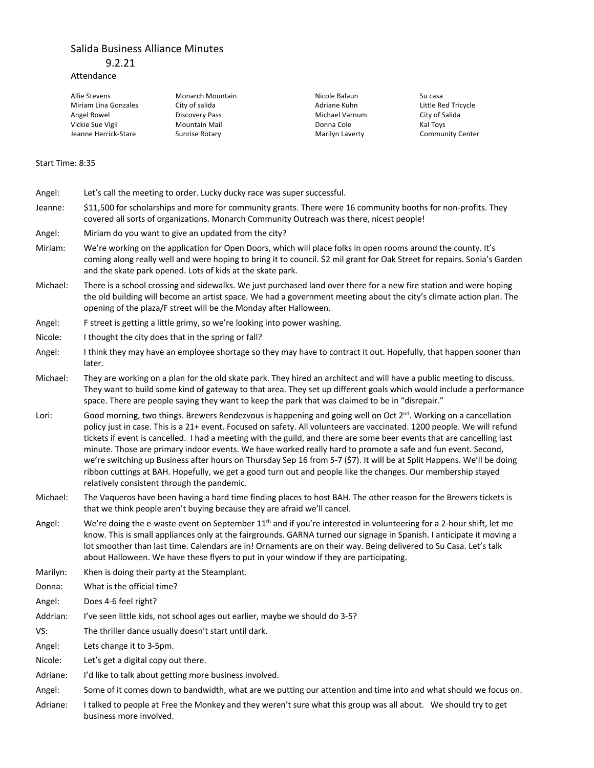## Salida Business Alliance Minutes

9.2.21

## Attendance

| Allie Stevens        | Monarch Mountain     | Nicole Balaun   | Su casa    |
|----------------------|----------------------|-----------------|------------|
| Miriam Lina Gonzales | City of salida       | Adriane Kuhn    | Little Red |
| Angel Rowel          | Discovery Pass       | Michael Varnum  | City of Sa |
| Vickie Sue Vigil     | <b>Mountain Mail</b> | Donna Cole      | Kal Toys   |
| Jeanne Herrick-Stare | Sunrise Rotary       | Marilyn Laverty | Commur     |
|                      |                      |                 |            |

Michael Varnum City of Salida

Adriane Kuhn Little Red Tricycle Marilyn Laverty **Community Center** 

## Start Time: 8:35

- Angel: Let's call the meeting to order. Lucky ducky race was super successful. Jeanne: \$11,500 for scholarships and more for community grants. There were 16 community booths for non-profits. They covered all sorts of organizations. Monarch Community Outreach was there, nicest people! Angel: Miriam do you want to give an updated from the city?
- Miriam: We're working on the application for Open Doors, which will place folks in open rooms around the county. It's coming along really well and were hoping to bring it to council. \$2 mil grant for Oak Street for repairs. Sonia's Garden and the skate park opened. Lots of kids at the skate park.
- Michael: There is a school crossing and sidewalks. We just purchased land over there for a new fire station and were hoping the old building will become an artist space. We had a government meeting about the city's climate action plan. The opening of the plaza/F street will be the Monday after Halloween.
- Angel: F street is getting a little grimy, so we're looking into power washing.
- Nicole: I thought the city does that in the spring or fall?
- Angel: I think they may have an employee shortage so they may have to contract it out. Hopefully, that happen sooner than later.
- Michael: They are working on a plan for the old skate park. They hired an architect and will have a public meeting to discuss. They want to build some kind of gateway to that area. They set up different goals which would include a performance space. There are people saying they want to keep the park that was claimed to be in "disrepair."
- Lori: Good morning, two things. Brewers Rendezvous is happening and going well on Oct  $2^{nd}$ . Working on a cancellation policy just in case. This is a 21+ event. Focused on safety. All volunteers are vaccinated. 1200 people. We will refund tickets if event is cancelled. I had a meeting with the guild, and there are some beer events that are cancelling last minute. Those are primary indoor events. We have worked really hard to promote a safe and fun event. Second, we're switching up Business after hours on Thursday Sep 16 from 5-7 (\$7). It will be at Split Happens. We'll be doing ribbon cuttings at BAH. Hopefully, we get a good turn out and people like the changes. Our membership stayed relatively consistent through the pandemic.
- Michael: The Vaqueros have been having a hard time finding places to host BAH. The other reason for the Brewers tickets is that we think people aren't buying because they are afraid we'll cancel.
- Angel: We're doing the e-waste event on September 11<sup>th</sup> and if you're interested in volunteering for a 2-hour shift, let me know. This is small appliances only at the fairgrounds. GARNA turned our signage in Spanish. I anticipate it moving a lot smoother than last time. Calendars are in! Ornaments are on their way. Being delivered to Su Casa. Let's talk about Halloween. We have these flyers to put in your window if they are participating.
- Marilyn: Khen is doing their party at the Steamplant.
- Donna: What is the official time?
- Angel: Does 4-6 feel right?
- Addrian: I've seen little kids, not school ages out earlier, maybe we should do 3-5?
- VS: The thriller dance usually doesn't start until dark.
- Angel: Lets change it to 3-5pm.
- Nicole: Let's get a digital copy out there.
- Adriane: I'd like to talk about getting more business involved.
- Angel: Some of it comes down to bandwidth, what are we putting our attention and time into and what should we focus on.
- Adriane: I talked to people at Free the Monkey and they weren't sure what this group was all about. We should try to get business more involved.